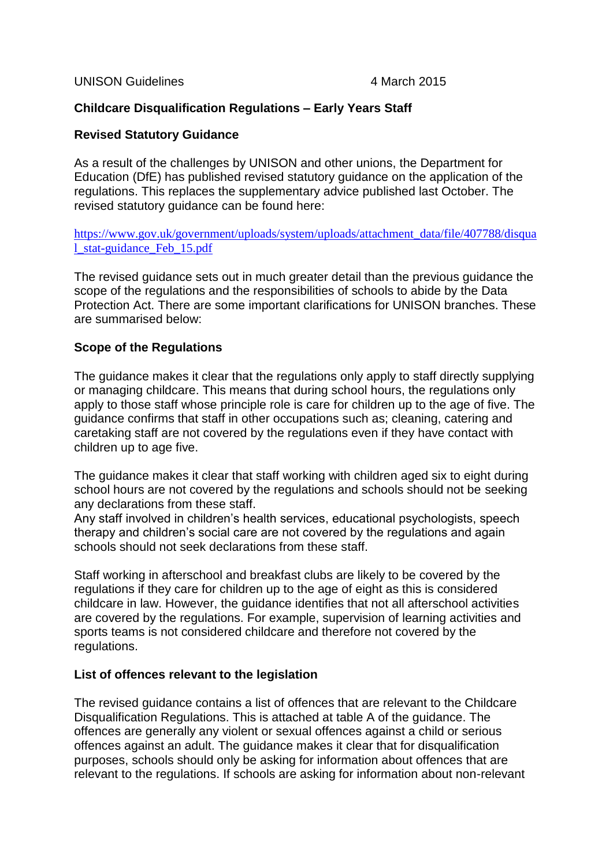UNISON Guidelines 4 March 2015

# **Childcare Disqualification Regulations – Early Years Staff**

## **Revised Statutory Guidance**

As a result of the challenges by UNISON and other unions, the Department for Education (DfE) has published revised statutory guidance on the application of the regulations. This replaces the supplementary advice published last October. The revised statutory guidance can be found here:

[https://www.gov.uk/government/uploads/system/uploads/attachment\\_data/file/407788/disqua](https://www.gov.uk/government/uploads/system/uploads/attachment_data/file/407788/disqual_stat-guidance_Feb_15.pdf) [l\\_stat-guidance\\_Feb\\_15.pdf](https://www.gov.uk/government/uploads/system/uploads/attachment_data/file/407788/disqual_stat-guidance_Feb_15.pdf)

The revised guidance sets out in much greater detail than the previous guidance the scope of the regulations and the responsibilities of schools to abide by the Data Protection Act. There are some important clarifications for UNISON branches. These are summarised below:

## **Scope of the Regulations**

The guidance makes it clear that the regulations only apply to staff directly supplying or managing childcare. This means that during school hours, the regulations only apply to those staff whose principle role is care for children up to the age of five. The guidance confirms that staff in other occupations such as; cleaning, catering and caretaking staff are not covered by the regulations even if they have contact with children up to age five.

The guidance makes it clear that staff working with children aged six to eight during school hours are not covered by the regulations and schools should not be seeking any declarations from these staff.

Any staff involved in children's health services, educational psychologists, speech therapy and children's social care are not covered by the regulations and again schools should not seek declarations from these staff.

Staff working in afterschool and breakfast clubs are likely to be covered by the regulations if they care for children up to the age of eight as this is considered childcare in law. However, the guidance identifies that not all afterschool activities are covered by the regulations. For example, supervision of learning activities and sports teams is not considered childcare and therefore not covered by the regulations.

## **List of offences relevant to the legislation**

The revised guidance contains a list of offences that are relevant to the Childcare Disqualification Regulations. This is attached at table A of the guidance. The offences are generally any violent or sexual offences against a child or serious offences against an adult. The guidance makes it clear that for disqualification purposes, schools should only be asking for information about offences that are relevant to the regulations. If schools are asking for information about non-relevant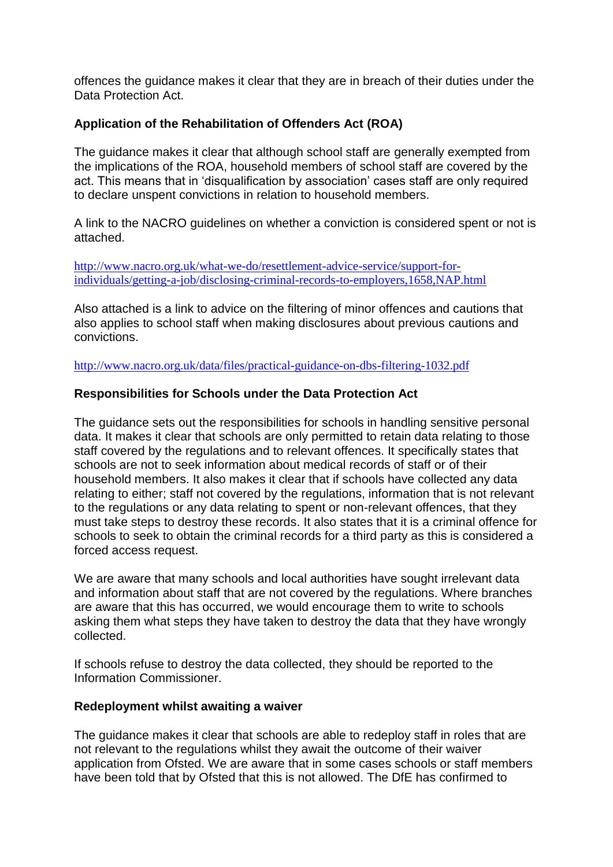offences the guidance makes it clear that they are in breach of their duties under the Data Protection Act.

# **Application of the Rehabilitation of Offenders Act (ROA)**

The guidance makes it clear that although school staff are generally exempted from the implications of the ROA, household members of school staff are covered by the act. This means that in 'disqualification by association' cases staff are only required to declare unspent convictions in relation to household members.

A link to the NACRO guidelines on whether a conviction is considered spent or not is attached.

[http://www.nacro.org.uk/what-we-do/resettlement-advice-service/support-for](http://www.nacro.org.uk/what-we-do/resettlement-advice-service/support-for-individuals/getting-a-job/disclosing-criminal-records-to-employers,1658,NAP.html)[individuals/getting-a-job/disclosing-criminal-records-to-employers,1658,NAP.html](http://www.nacro.org.uk/what-we-do/resettlement-advice-service/support-for-individuals/getting-a-job/disclosing-criminal-records-to-employers,1658,NAP.html)

Also attached is a link to advice on the filtering of minor offences and cautions that also applies to school staff when making disclosures about previous cautions and convictions.

<http://www.nacro.org.uk/data/files/practical-guidance-on-dbs-filtering-1032.pdf>

## **Responsibilities for Schools under the Data Protection Act**

The guidance sets out the responsibilities for schools in handling sensitive personal data. It makes it clear that schools are only permitted to retain data relating to those staff covered by the regulations and to relevant offences. It specifically states that schools are not to seek information about medical records of staff or of their household members. It also makes it clear that if schools have collected any data relating to either; staff not covered by the regulations, information that is not relevant to the regulations or any data relating to spent or non-relevant offences, that they must take steps to destroy these records. It also states that it is a criminal offence for schools to seek to obtain the criminal records for a third party as this is considered a forced access request.

We are aware that many schools and local authorities have sought irrelevant data and information about staff that are not covered by the regulations. Where branches are aware that this has occurred, we would encourage them to write to schools asking them what steps they have taken to destroy the data that they have wrongly collected.

If schools refuse to destroy the data collected, they should be reported to the Information Commissioner.

#### **Redeployment whilst awaiting a waiver**

The guidance makes it clear that schools are able to redeploy staff in roles that are not relevant to the regulations whilst they await the outcome of their waiver application from Ofsted. We are aware that in some cases schools or staff members have been told that by Ofsted that this is not allowed. The DfE has confirmed to